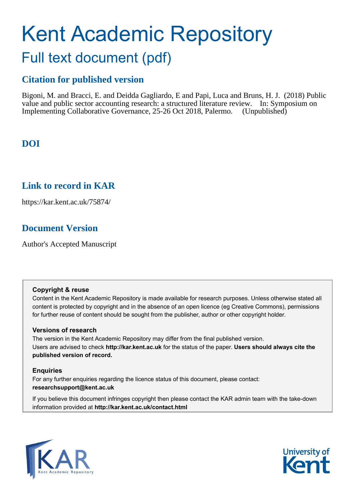# Kent Academic Repository Full text document (pdf)

# **Citation for published version**

Bigoni, M. and Bracci, E. and Deidda Gagliardo, E and Papi, Luca and Bruns, H. J. (2018) Public value and public sector accounting research: a structured literature review. In: Symposium on Implementing Collaborative Governance, 25-26 Oct 2018, Palermo. (Unpublished)

# **DOI**

## **Link to record in KAR**

https://kar.kent.ac.uk/75874/

# **Document Version**

Author's Accepted Manuscript

#### **Copyright & reuse**

Content in the Kent Academic Repository is made available for research purposes. Unless otherwise stated all content is protected by copyright and in the absence of an open licence (eg Creative Commons), permissions for further reuse of content should be sought from the publisher, author or other copyright holder.

#### **Versions of research**

The version in the Kent Academic Repository may differ from the final published version. Users are advised to check **http://kar.kent.ac.uk** for the status of the paper. **Users should always cite the published version of record.**

## **Enquiries**

For any further enquiries regarding the licence status of this document, please contact: **researchsupport@kent.ac.uk**

If you believe this document infringes copyright then please contact the KAR admin team with the take-down information provided at **http://kar.kent.ac.uk/contact.html**



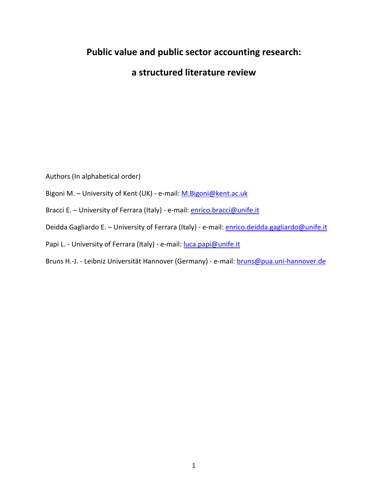# **Public value and public sector accounting research:**

**a structured literature review**

Authors (In alphabetical order)

Bigoni M. - University of Kent (UK) - e-mail: [M.Bigoni@kent.ac.uk](mailto:M.Bigoni@kent.ac.uk)

Bracci E. - University of Ferrara (Italy) - e-mail: **enrico.bracci@unife.it** 

Deidda Gagliardo E. - University of Ferrara (Italy) - e-mail: *enrico.deidda.gagliardo@unife.it* 

Papi L. - University of Ferrara (Italy) - e-mail: [luca.papi@unife.it](mailto:luca.papi@unife.it)

Bruns H.-J. - Leibniz Universität Hannover (Germany) - e-mail: [bruns@pua.uni-hannover.de](mailto:bruns@pua.uni-hannover.de)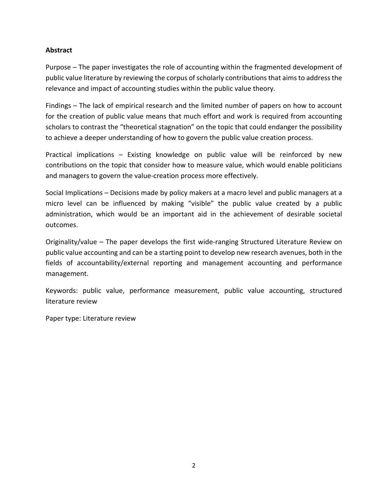### **Abstract**

Purpose – The paper investigates the role of accounting within the fragmented development of public value literature by reviewing the corpus of scholarly contributionsthat aims to address the relevance and impact of accounting studies within the public value theory.

Findings – The lack of empirical research and the limited number of papers on how to account for the creation of public value means that much effort and work is required from accounting scholars to contrast the "theoretical stagnation" on the topic that could endanger the possibility to achieve a deeper understanding of how to govern the public value creation process.

Practical implications – Existing knowledge on public value will be reinforced by new contributions on the topic that consider how to measure value, which would enable politicians and managers to govern the value-creation process more effectively.

Social Implications – Decisions made by policy makers at a macro level and public managers at a micro level can be influenced by making "visible" the public value created by a public administration, which would be an important aid in the achievement of desirable societal outcomes.

Originality/value – The paper develops the first wide-ranging Structured Literature Review on public value accounting and can be a starting point to develop new research avenues, both in the fields of accountability/external reporting and management accounting and performance management.

Keywords: public value, performance measurement, public value accounting, structured literature review

Paper type: Literature review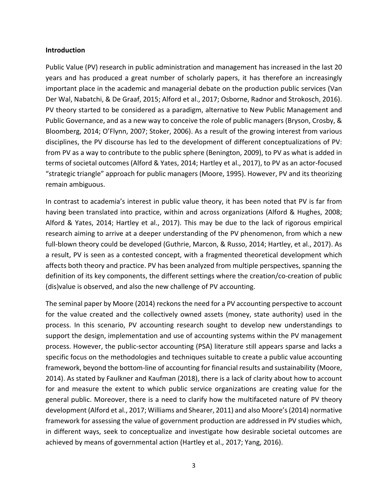#### **Introduction**

Public Value (PV) research in public administration and management has increased in the last 20 years and has produced a great number of scholarly papers, it has therefore an increasingly important place in the academic and managerial debate on the production public services (Van Der Wal, Nabatchi, & De Graaf, 2015; Alford et al., 2017; Osborne, Radnor and Strokosch, 2016). PV theory started to be considered as a paradigm, alternative to New Public Management and Public Governance, and as a new way to conceive the role of public managers (Bryson, Crosby, & Bloomberg, 2014; O'Flynn, 2007; Stoker, 2006). As a result of the growing interest from various disciplines, the PV discourse has led to the development of different conceptualizations of PV: from PV as a way to contribute to the public sphere (Benington, 2009), to PV as what is added in terms of societal outcomes (Alford & Yates, 2014; Hartley et al., 2017), to PV as an actor-focused "strategic triangle" approach for public managers (Moore, 1995). However, PV and its theorizing remain ambiguous.

In contrast to academia's interest in public value theory, it has been noted that PV is far from having been translated into practice, within and across organizations (Alford & Hughes, 2008; Alford & Yates, 2014; Hartley et al., 2017). This may be due to the lack of rigorous empirical research aiming to arrive at a deeper understanding of the PV phenomenon, from which a new full-blown theory could be developed (Guthrie, Marcon, & Russo, 2014; Hartley, et al., 2017). As a result, PV is seen as a contested concept, with a fragmented theoretical development which affects both theory and practice. PV has been analyzed from multiple perspectives, spanning the definition of its key components, the different settings where the creation/co-creation of public (dis)value is observed, and also the new challenge of PV accounting.

The seminal paper by Moore (2014) reckons the need for a PV accounting perspective to account for the value created and the collectively owned assets (money, state authority) used in the process. In this scenario, PV accounting research sought to develop new understandings to support the design, implementation and use of accounting systems within the PV management process. However, the public-sector accounting (PSA) literature still appears sparse and lacks a specific focus on the methodologies and techniques suitable to create a public value accounting framework, beyond the bottom-line of accounting for financial results and sustainability (Moore, 2014). As stated by Faulkner and Kaufman (2018), there is a lack of clarity about how to account for and measure the extent to which public service organizations are creating value for the general public. Moreover, there is a need to clarify how the multifaceted nature of PV theory development (Alford et al., 2017; Williams and Shearer, 2011) and also Moore's (2014) normative framework for assessing the value of government production are addressed in PV studies which, in different ways, seek to conceptualize and investigate how desirable societal outcomes are achieved by means of governmental action (Hartley et al., 2017; Yang, 2016).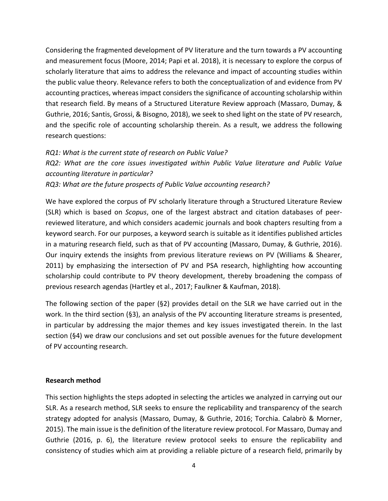Considering the fragmented development of PV literature and the turn towards a PV accounting and measurement focus (Moore, 2014; Papi et al. 2018), it is necessary to explore the corpus of scholarly literature that aims to address the relevance and impact of accounting studies within the public value theory. Relevance refers to both the conceptualization of and evidence from PV accounting practices, whereas impact considers the significance of accounting scholarship within that research field. By means of a Structured Literature Review approach (Massaro, Dumay, & Guthrie, 2016; Santis, Grossi, & Bisogno, 2018), we seek to shed light on the state of PV research, and the specific role of accounting scholarship therein. As a result, we address the following research questions:

### *RQ1: What is the current state of research on Public Value?*

*RQ2: What are the core issues investigated within Public Value literature and Public Value accounting literature in particular?*

*RQ3: What are the future prospects of Public Value accounting research?*

We have explored the corpus of PV scholarly literature through a Structured Literature Review (SLR) which is based on *Scopus*, one of the largest abstract and citation databases of peerreviewed literature, and which considers academic journals and book chapters resulting from a keyword search. For our purposes, a keyword search is suitable as it identifies published articles in a maturing research field, such as that of PV accounting (Massaro, Dumay, & Guthrie, 2016). Our inquiry extends the insights from previous literature reviews on PV (Williams & Shearer, 2011) by emphasizing the intersection of PV and PSA research, highlighting how accounting scholarship could contribute to PV theory development, thereby broadening the compass of previous research agendas (Hartley et al., 2017; Faulkner & Kaufman, 2018).

The following section of the paper (§2) provides detail on the SLR we have carried out in the work. In the third section (§3), an analysis of the PV accounting literature streams is presented, in particular by addressing the major themes and key issues investigated therein. In the last section (§4) we draw our conclusions and set out possible avenues for the future development of PV accounting research.

#### **Research method**

This section highlights the steps adopted in selecting the articles we analyzed in carrying out our SLR. As a research method, SLR seeks to ensure the replicability and transparency of the search strategy adopted for analysis (Massaro, Dumay, & Guthrie, 2016; Torchia. Calabrò & Morner, 2015). The main issue is the definition of the literature review protocol. For Massaro, Dumay and Guthrie (2016, p. 6), the literature review protocol seeks to ensure the replicability and consistency of studies which aim at providing a reliable picture of a research field, primarily by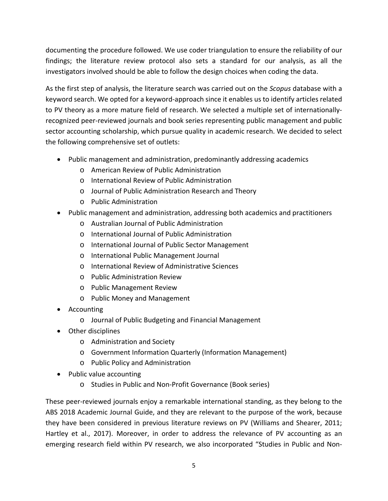documenting the procedure followed. We use coder triangulation to ensure the reliability of our findings; the literature review protocol also sets a standard for our analysis, as all the investigators involved should be able to follow the design choices when coding the data.

As the first step of analysis, the literature search was carried out on the *Scopus* database with a keyword search. We opted for a keyword-approach since it enables us to identify articles related to PV theory as a more mature field of research. We selected a multiple set of internationallyrecognized peer-reviewed journals and book series representing public management and public sector accounting scholarship, which pursue quality in academic research. We decided to select the following comprehensive set of outlets:

- Public management and administration, predominantly addressing academics
	- o American Review of Public Administration
	- o International Review of Public Administration
	- o Journal of Public Administration Research and Theory
	- o Public Administration
- Public management and administration, addressing both academics and practitioners
	- o Australian Journal of Public Administration
	- o International Journal of Public Administration
	- o International Journal of Public Sector Management
	- o International Public Management Journal
	- o International Review of Administrative Sciences
	- o Public Administration Review
	- o Public Management Review
	- o Public Money and Management
- Accounting
	- o Journal of Public Budgeting and Financial Management
- Other disciplines
	- o Administration and Society
	- o Government Information Quarterly (Information Management)
	- o Public Policy and Administration
- Public value accounting
	- o Studies in Public and Non-Profit Governance (Book series)

These peer-reviewed journals enjoy a remarkable international standing, as they belong to the ABS 2018 Academic Journal Guide, and they are relevant to the purpose of the work, because they have been considered in previous literature reviews on PV (Williams and Shearer, 2011; Hartley et al., 2017). Moreover, in order to address the relevance of PV accounting as an emerging research field within PV research, we also incorporated "Studies in Public and Non-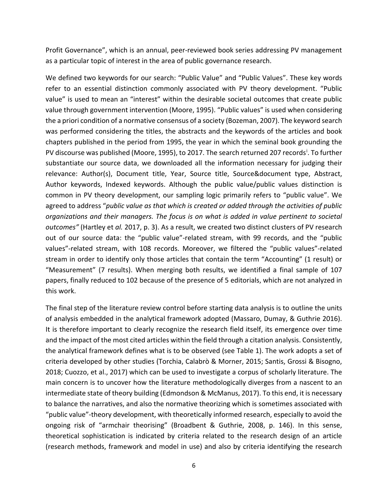Profit Governance", which is an annual, peer-reviewed book series addressing PV management as a particular topic of interest in the area of public governance research.

We defined two keywords for our search: "Public Value" and "Public Values". These key words refer to an essential distinction commonly associated with PV theory development. "Public value" is used to mean an "interest" within the desirable societal outcomes that create public value through government intervention (Moore, 1995). "Public values" is used when considering the a priori condition of a normative consensus of a society (Bozeman, 2007). The keyword search was performed considering the titles, the abstracts and the keywords of the articles and book chapters published in the period from 1995, the year in which the seminal book grounding the PV d[i](#page--1-0)scourse was published (Moore, 1995), to 2017. The search returned 207 records<sup>i</sup>. To further substantiate our source data, we downloaded all the information necessary for judging their relevance: Author(s), Document title, Year, Source title, Source&document type, Abstract, Author keywords, Indexed keywords. Although the public value/public values distinction is common in PV theory development, our sampling logic primarily refers to "public value". We agreed to address "*public value as that which is created or added through the activities of public organizations and their managers. The focus is on what is added in value pertinent to societal outcomes"* (Hartley et *al.* 2017, p. 3). As a result, we created two distinct clusters of PV research out of our source data: the "public value"-related stream, with 99 records, and the "public values"-related stream, with 108 records. Moreover, we filtered the "public values"-related stream in order to identify only those articles that contain the term "Accounting" (1 result) or "Measurement" (7 results). When merging both results, we identified a final sample of 107 papers, finally reduced to 102 because of the presence of 5 editorials, which are not analyzed in this work.

The final step of the literature review control before starting data analysis is to outline the units of analysis embedded in the analytical framework adopted (Massaro, Dumay, & Guthrie 2016). It is therefore important to clearly recognize the research field itself, its emergence over time and the impact of the most cited articles within the field through a citation analysis. Consistently, the analytical framework defines what is to be observed (see Table 1). The work adopts a set of criteria developed by other studies (Torchia, Calabrò & Morner, 2015; Santis, Grossi & Bisogno, 2018; Cuozzo, et al., 2017) which can be used to investigate a corpus of scholarly literature. The main concern is to uncover how the literature methodologically diverges from a nascent to an intermediate state of theory building (Edmondson & McManus, 2017). To this end, it is necessary to balance the narratives, and also the normative theorizing which is sometimes associated with "public value"-theory development, with theoretically informed research, especially to avoid the ongoing risk of "armchair theorising" (Broadbent & Guthrie, 2008, p. 146). In this sense, theoretical sophistication is indicated by criteria related to the research design of an article (research methods, framework and model in use) and also by criteria identifying the research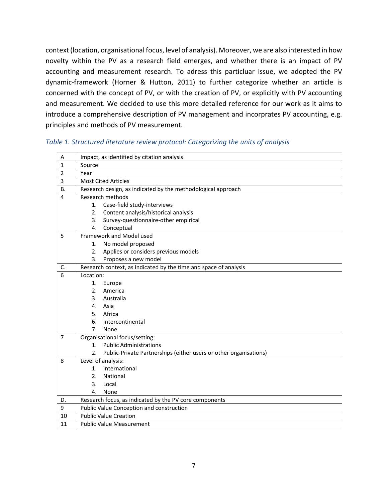context (location, organisational focus, level of analysis). Moreover, we are also interested in how novelty within the PV as a research field emerges, and whether there is an impact of PV accounting and measurement research. To adress this particluar issue, we adopted the PV dynamic-framework (Horner & Hutton, 2011) to further categorize whether an article is concerned with the concept of PV, or with the creation of PV, or explicitly with PV accounting and measurement. We decided to use this more detailed reference for our work as it aims to introduce a comprehensive description of PV management and incorprates PV accounting, e.g. principles and methods of PV measurement.

#### $A$  | Impact, as identified by citation analysis 1 Source 2 Year 3 Most Cited Articles  $B.$  Research design, as indicated by the methodological approach 4 Research methods 1. Case-field study-interviews 2. Content analysis/historical analysis 3. Survey-questionnaire-other empirical 4. Conceptual 5 Framework and Model used 1. No model proposed 2. Applies or considers previous models 3. Proposes a new model  $C.$  Research context, as indicated by the time and space of analysis 6 Location: 1. Europe 2. America 3. Australia 4. Asia 5. Africa 6. Intercontinental 7. None 7 | Organisational focus/setting: 1. Public Administrations 2. Public-Private Partnerships (either users or other organisations) 8 Level of analysis: 1. International 2. National 3. Local 4. None D. Research focus, as indicated by the PV core components 9 Public Value Conception and construction 10 | Public Value Creation 11 | Public Value Measurement

#### *Table 1. Structured literature review protocol: Categorizing the units of analysis*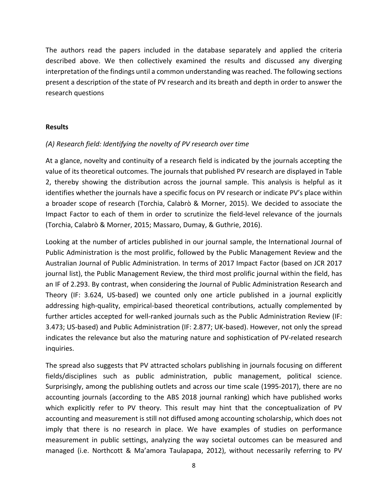The authors read the papers included in the database separately and applied the criteria described above. We then collectively examined the results and discussed any diverging interpretation of the findings until a common understanding was reached. The following sections present a description of the state of PV research and its breath and depth in order to answer the research questions

#### **Results**

#### *(A) Research field: Identifying the novelty of PV research over time*

At a glance, novelty and continuity of a research field is indicated by the journals accepting the value of its theoretical outcomes. The journals that published PV research are displayed in Table 2, thereby showing the distribution across the journal sample. This analysis is helpful as it identifies whether the journals have a specific focus on PV research or indicate PV's place within a broader scope of research (Torchia, Calabrò & Morner, 2015). We decided to associate the Impact Factor to each of them in order to scrutinize the field-level relevance of the journals (Torchia, Calabrò & Morner, 2015; Massaro, Dumay, & Guthrie, 2016).

Looking at the number of articles published in our journal sample, the International Journal of Public Administration is the most prolific, followed by the Public Management Review and the Australian Journal of Public Administration. In terms of 2017 Impact Factor (based on JCR 2017 journal list), the Public Management Review, the third most prolific journal within the field, has an IF of 2.293. By contrast, when considering the Journal of Public Administration Research and Theory (IF: 3.624, US-based) we counted only one article published in a journal explicitly addressing high-quality, empirical-based theoretical contributions, actually complemented by further articles accepted for well-ranked journals such as the Public Administration Review (IF: 3.473; US-based) and Public Administration (IF: 2.877; UK-based). However, not only the spread indicates the relevance but also the maturing nature and sophistication of PV-related research inquiries.

The spread also suggests that PV attracted scholars publishing in journals focusing on different fields/disciplines such as public administration, public management, political science. Surprisingly, among the publishing outlets and across our time scale (1995-2017), there are no accounting journals (according to the ABS 2018 journal ranking) which have published works which explicitly refer to PV theory. This result may hint that the conceptualization of PV accounting and measurement is still not diffused among accounting scholarship, which does not imply that there is no research in place. We have examples of studies on performance measurement in public settings, analyzing the way societal outcomes can be measured and managed (i.e. Northcott & Ma'amora Taulapapa, 2012), without necessarily referring to PV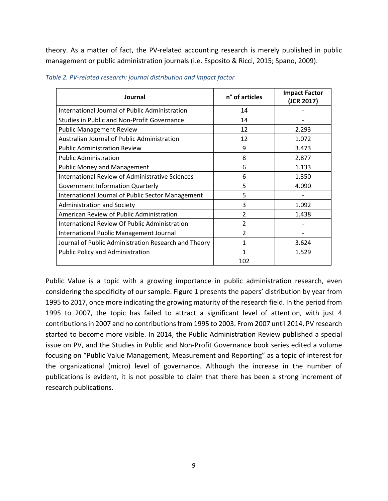theory. As a matter of fact, the PV-related accounting research is merely published in public management or public administration journals (i.e. Esposito & Ricci, 2015; Spano, 2009).

| Journal                                              | n° of articles | <b>Impact Factor</b><br>(JCR 2017) |
|------------------------------------------------------|----------------|------------------------------------|
| International Journal of Public Administration       | 14             |                                    |
| <b>Studies in Public and Non-Profit Governance</b>   | 14             |                                    |
| <b>Public Management Review</b>                      | 12             | 2.293                              |
| Australian Journal of Public Administration          | 12             | 1.072                              |
| <b>Public Administration Review</b>                  | 9              | 3.473                              |
| <b>Public Administration</b>                         | 8              | 2.877                              |
| <b>Public Money and Management</b>                   | 6              | 1.133                              |
| International Review of Administrative Sciences      | 6              | 1.350                              |
| <b>Government Information Quarterly</b>              | 5              | 4.090                              |
| International Journal of Public Sector Management    | 5              |                                    |
| <b>Administration and Society</b>                    | 3              | 1.092                              |
| American Review of Public Administration             | $\mathcal{P}$  | 1.438                              |
| <b>International Review Of Public Administration</b> | $\mathcal{P}$  |                                    |
| International Public Management Journal              | 2              |                                    |
| Journal of Public Administration Research and Theory | 1              | 3.624                              |
| <b>Public Policy and Administration</b>              |                | 1.529                              |
|                                                      | 102            |                                    |

*Table 2. PV-related research: journal distribution and impact factor*

Public Value is a topic with a growing importance in public administration research, even considering the specificity of our sample. Figure 1 presents the papers' distribution by year from 1995 to 2017, once more indicating the growing maturity of the research field. In the period from 1995 to 2007, the topic has failed to attract a significant level of attention, with just 4 contributions in 2007 and no contributions from 1995 to 2003. From 2007 until 2014, PV research started to become more visible. In 2014, the Public Administration Review published a special issue on PV, and the Studies in Public and Non-Profit Governance book series edited a volume focusing on "Public Value Management, Measurement and Reporting" as a topic of interest for the organizational (micro) level of governance. Although the increase in the number of publications is evident, it is not possible to claim that there has been a strong increment of research publications.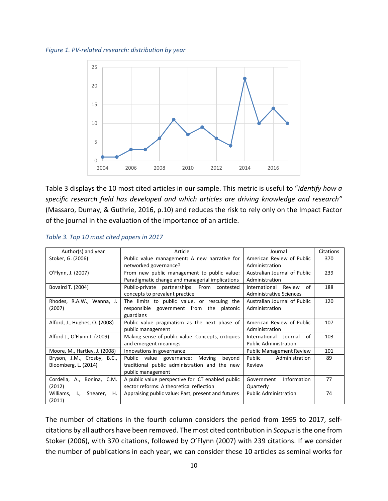*Figure 1. PV-related research: distribution by year*



Table 3 displays the 10 most cited articles in our sample. This metric is useful to "*identify how a specific research field has developed and which articles are driving knowledge and research"* (Massaro, Dumay, & Guthrie, 2016, p.10) and reduces the risk to rely only on the Impact Factor of the journal in the evaluation of the importance of an article.

| Author(s) and year                                   | Article                                            | Journal                         | Citations |
|------------------------------------------------------|----------------------------------------------------|---------------------------------|-----------|
| Stoker, G. (2006)                                    | Public value management: A new narrative for       | American Review of Public       | 370       |
|                                                      | networked governance?                              | Administration                  |           |
| O'Flynn, J. (2007)                                   | From new public management to public value:        | Australian Journal of Public    | 239       |
|                                                      | Paradigmatic change and managerial implications    | Administration                  |           |
| Bovaird T. (2004)                                    | Public-private partnerships: From contested        | International<br>Review<br>Ωf   | 188       |
|                                                      | concepts to prevalent practice                     | <b>Administrative Sciences</b>  |           |
| Rhodes, R.A.W., Wanna, J.                            | The limits to public value, or rescuing the        |                                 | 120       |
| (2007)                                               | responsible government from the platonic           | Administration                  |           |
|                                                      | guardians                                          |                                 |           |
| Alford, J., Hughes, O. (2008)                        | Public value pragmatism as the next phase of       | American Review of Public       | 107       |
|                                                      | public management                                  |                                 |           |
| Alford J., O'Flynn J. (2009)                         | Making sense of public value: Concepts, critiques  | of<br>International<br>Journal  | 103       |
|                                                      | and emergent meanings                              | <b>Public Administration</b>    |           |
| Moore, M., Hartley, J. (2008)                        | Innovations in governance                          | <b>Public Management Review</b> | 101       |
| Bryson, J.M., Crosby, B.C.,                          | Public value governance: Moving<br>beyond          | Public<br>Administration        | 89        |
| Bloomberg, L. (2014)                                 | traditional public administration and the new      | Review                          |           |
|                                                      | public management                                  |                                 |           |
| Cordella, A., Bonina, C.M.                           | A public value perspective for ICT enabled public  | Information<br>Government       | 77        |
| (2012)                                               | sector reforms: A theoretical reflection           | Quarterly                       |           |
| Williams,<br>Shearer,<br>$\mathbf{I}_{\alpha}$<br>Η. | Appraising public value: Past, present and futures | <b>Public Administration</b>    | 74        |
| (2011)                                               |                                                    |                                 |           |

#### *Table 3. Top 10 most cited papers in 2017*

The number of citations in the fourth column considers the period from 1995 to 2017, selfcitations by all authors have been removed. The most cited contribution in *Scopus*isthe one from Stoker (2006), with 370 citations, followed by O'Flynn (2007) with 239 citations. If we consider the number of publications in each year, we can consider these 10 articles as seminal works for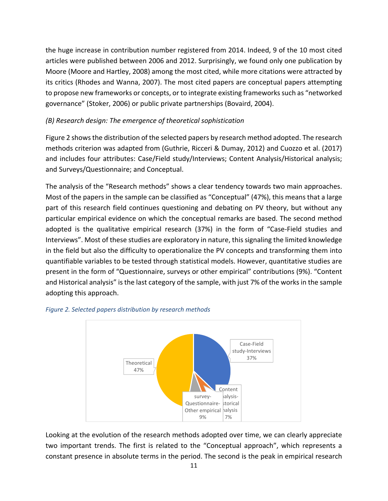the huge increase in contribution number registered from 2014. Indeed, 9 of the 10 most cited articles were published between 2006 and 2012. Surprisingly, we found only one publication by Moore (Moore and Hartley, 2008) among the most cited, while more citations were attracted by its critics (Rhodes and Wanna, 2007). The most cited papers are conceptual papers attempting to propose new frameworks or concepts, or to integrate existing frameworks such as "networked governance" (Stoker, 2006) or public private partnerships (Bovaird, 2004).

## *(B) Research design: The emergence of theoretical sophistication*

Figure 2 shows the distribution of the selected papers by research method adopted. The research methods criterion was adapted from (Guthrie, Ricceri & Dumay, 2012) and Cuozzo et al. (2017) and includes four attributes: Case/Field study/Interviews; Content Analysis/Historical analysis; and Surveys/Questionnaire; and Conceptual.

The analysis of the "Research methods" shows a clear tendency towards two main approaches. Most of the papers in the sample can be classified as "Conceptual" (47%), this means that a large part of this research field continues questioning and debating on PV theory, but without any particular empirical evidence on which the conceptual remarks are based. The second method adopted is the qualitative empirical research (37%) in the form of "Case-Field studies and Interviews". Most of these studies are exploratory in nature, this signaling the limited knowledge in the field but also the difficulty to operationalize the PV concepts and transforming them into quantifiable variables to be tested through statistical models. However, quantitative studies are present in the form of "Questionnaire, surveys or other empirical" contributions (9%). "Content and Historical analysis" isthe last category of the sample, with just 7% of the works in the sample adopting this approach.



#### *Figure 2. Selected papers distribution by research methods*

Looking at the evolution of the research methods adopted over time, we can clearly appreciate two important trends. The first is related to the "Conceptual approach", which represents a constant presence in absolute terms in the period. The second is the peak in empirical research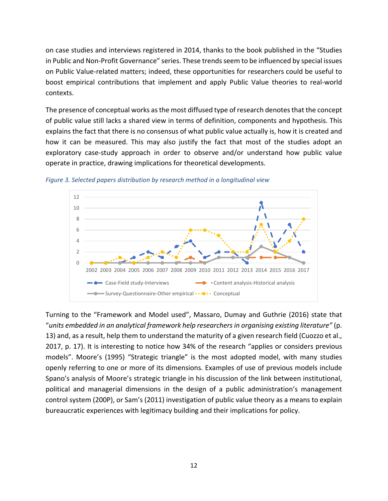on case studies and interviews registered in 2014, thanks to the book published in the "Studies in Public and Non-Profit Governance" series. These trends seem to be influenced by special issues on Public Value-related matters; indeed, these opportunities for researchers could be useful to boost empirical contributions that implement and apply Public Value theories to real-world contexts.

The presence of conceptual works as the most diffused type of research denotes that the concept of public value still lacks a shared view in terms of definition, components and hypothesis. This explains the fact that there is no consensus of what public value actually is, how it is created and how it can be measured. This may also justify the fact that most of the studies adopt an exploratory case-study approach in order to observe and/or understand how public value operate in practice, drawing implications for theoretical developments.



*Figure 3. Selected papers distribution by research method in a longitudinal view*

Turning to the "Framework and Model used", Massaro, Dumay and Guthrie (2016) state that "*units embedded in an analytical framework help researchers in organising existing literature"* (p. 13) and, as a result, help them to understand the maturity of a given research field (Cuozzo et al., 2017, p. 17). It is interesting to notice how 34% of the research "applies or considers previous models". Moore's (1995) "Strategic triangle" is the most adopted model, with many studies openly referring to one or more of its dimensions. Examples of use of previous models include Spano's analysis of Moore's strategic triangle in his discussion of the link between institutional, political and managerial dimensions in the design of a public administration's management control system (200P), or Sam's (2011) investigation of public value theory as a means to explain bureaucratic experiences with legitimacy building and their implications for policy.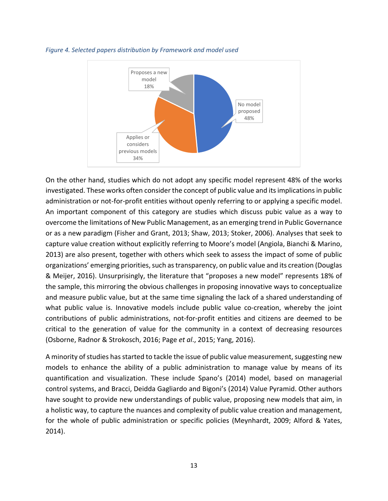

*Figure 4. Selected papers distribution by Framework and model used*

On the other hand, studies which do not adopt any specific model represent 48% of the works investigated. These works often consider the concept of public value and its implications in public administration or not-for-profit entities without openly referring to or applying a specific model. An important component of this category are studies which discuss pubic value as a way to overcome the limitations of New Public Management, as an emerging trend in Public Governance or as a new paradigm (Fisher and Grant, 2013; Shaw, 2013; Stoker, 2006). Analyses that seek to capture value creation without explicitly referring to Moore's model (Angiola, Bianchi & Marino, 2013) are also present, together with others which seek to assess the impact of some of public organizations' emerging priorities, such as transparency, on public value and its creation (Douglas & Meijer, 2016). Unsurprisingly, the literature that "proposes a new model" represents 18% of the sample, this mirroring the obvious challenges in proposing innovative ways to conceptualize and measure public value, but at the same time signaling the lack of a shared understanding of what public value is. Innovative models include public value co-creation, whereby the joint contributions of public administrations, not-for-profit entities and citizens are deemed to be critical to the generation of value for the community in a context of decreasing resources (Osborne, Radnor & Strokosch, 2016; Page *et al*., 2015; Yang, 2016).

A minority of studies has started to tackle the issue of public value measurement, suggesting new models to enhance the ability of a public administration to manage value by means of its quantification and visualization. These include Spano's (2014) model, based on managerial control systems, and Bracci, Deidda Gagliardo and Bigoni's (2014) Value Pyramid. Other authors have sought to provide new understandings of public value, proposing new models that aim, in a holistic way, to capture the nuances and complexity of public value creation and management, for the whole of public administration or specific policies (Meynhardt, 2009; Alford & Yates, 2014).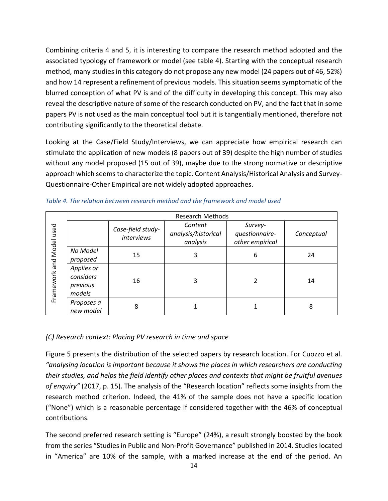Combining criteria 4 and 5, it is interesting to compare the research method adopted and the associated typology of framework or model (see table 4). Starting with the conceptual research method, many studies in this category do not propose any new model (24 papers out of 46, 52%) and how 14 represent a refinement of previous models. This situation seems symptomatic of the blurred conception of what PV is and of the difficulty in developing this concept. This may also reveal the descriptive nature of some of the research conducted on PV, and the fact that in some papers PV is not used as the main conceptual tool but it is tangentially mentioned, therefore not contributing significantly to the theoretical debate.

Looking at the Case/Field Study/Interviews, we can appreciate how empirical research can stimulate the application of new models (8 papers out of 39) despite the high number of studies without any model proposed (15 out of 39), maybe due to the strong normative or descriptive approach which seems to characterize the topic. Content Analysis/Historical Analysis and Survey-Questionnaire-Other Empirical are not widely adopted approaches.

|                          |                                               |                                        | Research Methods                           |                                              |            |  |
|--------------------------|-----------------------------------------------|----------------------------------------|--------------------------------------------|----------------------------------------------|------------|--|
| Framework and Model used |                                               | Case-field study-<br><i>interviews</i> | Content<br>analysis/historical<br>analysis | Survey-<br>questionnaire-<br>other empirical | Conceptual |  |
|                          | No Model<br>proposed                          | 15                                     | 3                                          | 6                                            | 24         |  |
|                          | Applies or<br>considers<br>previous<br>models | 16                                     | 3                                          |                                              | 14         |  |
|                          | Proposes a<br>new model                       | 8                                      |                                            |                                              | 8          |  |

*Table 4. The relation between research method and the framework and model used*

## *(C) Research context: Placing PV research in time and space*

Figure 5 presents the distribution of the selected papers by research location. For Cuozzo et al. *"analysing location is important because it shows the places in which researchers are conducting their studies, and helps the field identify other places and contexts that might be fruitful avenues of enquiry"* (2017, p. 15). The analysis of the "Research location" reflects some insights from the research method criterion. Indeed, the 41% of the sample does not have a specific location ("None") which is a reasonable percentage if considered together with the 46% of conceptual contributions.

The second preferred research setting is "Europe" (24%), a result strongly boosted by the book from the series "Studies in Public and Non-Profit Governance" published in 2014. Studies located in "America" are 10% of the sample, with a marked increase at the end of the period. An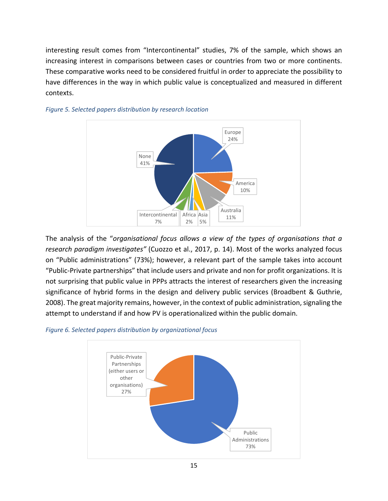interesting result comes from "Intercontinental" studies, 7% of the sample, which shows an increasing interest in comparisons between cases or countries from two or more continents. These comparative works need to be considered fruitful in order to appreciate the possibility to have differences in the way in which public value is conceptualized and measured in different contexts.



## *Figure 5. Selected papers distribution by research location*

The analysis of the "*organisational focus allows a view of the types of organisations that a research paradigm investigates"* (Cuozzo et al., 2017, p. 14). Most of the works analyzed focus on "Public administrations" (73%); however, a relevant part of the sample takes into account "Public-Private partnerships" that include users and private and non for profit organizations. It is not surprising that public value in PPPs attracts the interest of researchers given the increasing significance of hybrid forms in the design and delivery public services (Broadbent & Guthrie, 2008). The great majority remains, however, in the context of public administration, signaling the attempt to understand if and how PV is operationalized within the public domain.

#### *Figure 6. Selected papers distribution by organizational focus*

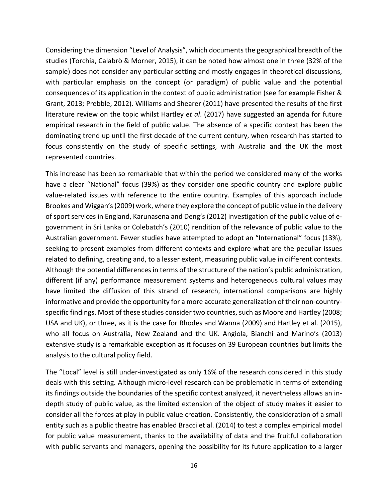Considering the dimension "Level of Analysis", which documents the geographical breadth of the studies (Torchia, Calabrò & Morner, 2015), it can be noted how almost one in three (32% of the sample) does not consider any particular setting and mostly engages in theoretical discussions, with particular emphasis on the concept (or paradigm) of public value and the potential consequences of its application in the context of public administration (see for example Fisher & Grant, 2013; Prebble, 2012). Williams and Shearer (2011) have presented the results of the first literature review on the topic whilst Hartley *et al*. (2017) have suggested an agenda for future empirical research in the field of public value. The absence of a specific context has been the dominating trend up until the first decade of the current century, when research has started to focus consistently on the study of specific settings, with Australia and the UK the most represented countries.

This increase has been so remarkable that within the period we considered many of the works have a clear "National" focus (39%) as they consider one specific country and explore public value-related issues with reference to the entire country. Examples of this approach include Brookes and Wiggan's (2009) work, where they explore the concept of public value in the delivery of sport services in England, Karunasena and Deng's (2012) investigation of the public value of egovernment in Sri Lanka or Colebatch's (2010) rendition of the relevance of public value to the Australian government. Fewer studies have attempted to adopt an "International" focus (13%), seeking to present examples from different contexts and explore what are the peculiar issues related to defining, creating and, to a lesser extent, measuring public value in different contexts. Although the potential differences in terms of the structure of the nation's public administration, different (if any) performance measurement systems and heterogeneous cultural values may have limited the diffusion of this strand of research, international comparisons are highly informative and provide the opportunity for a more accurate generalization of their non-countryspecific findings. Most of these studies consider two countries, such as Moore and Hartley (2008; USA and UK), or three, as it is the case for Rhodes and Wanna (2009) and Hartley et al. (2015), who all focus on Australia, New Zealand and the UK. Angiola, Bianchi and Marino's (2013) extensive study is a remarkable exception as it focuses on 39 European countries but limits the analysis to the cultural policy field.

The "Local" level is still under-investigated as only 16% of the research considered in this study deals with this setting. Although micro-level research can be problematic in terms of extending its findings outside the boundaries of the specific context analyzed, it nevertheless allows an indepth study of public value, as the limited extension of the object of study makes it easier to consider all the forces at play in public value creation. Consistently, the consideration of a small entity such as a public theatre has enabled Bracci et al. (2014) to test a complex empirical model for public value measurement, thanks to the availability of data and the fruitful collaboration with public servants and managers, opening the possibility for its future application to a larger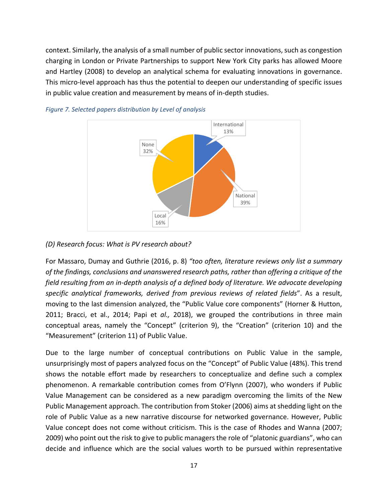context. Similarly, the analysis of a small number of public sector innovations, such as congestion charging in London or Private Partnerships to support New York City parks has allowed Moore and Hartley (2008) to develop an analytical schema for evaluating innovations in governance. This micro-level approach has thus the potential to deepen our understanding of specific issues in public value creation and measurement by means of in-depth studies.





#### *(D) Research focus: What is PV research about?*

For Massaro, Dumay and Guthrie (2016, p. 8) *"too often, literature reviews only list a summary of the findings, conclusions and unanswered research paths, rather than offering a critique of the field resulting from an in-depth analysis of a defined body of literature. We advocate developing specific analytical frameworks, derived from previous reviews of related fields*". As a result, moving to the last dimension analyzed, the "Public Value core components" (Horner & Hutton, 2011; Bracci, et al., 2014; Papi et *al.,* 2018), we grouped the contributions in three main conceptual areas, namely the "Concept" (criterion 9), the "Creation" (criterion 10) and the "Measurement" (criterion 11) of Public Value.

Due to the large number of conceptual contributions on Public Value in the sample, unsurprisingly most of papers analyzed focus on the "Concept" of Public Value (48%). This trend shows the notable effort made by researchers to conceptualize and define such a complex phenomenon. A remarkable contribution comes from O'Flynn (2007), who wonders if Public Value Management can be considered as a new paradigm overcoming the limits of the New Public Management approach. The contribution from Stoker (2006) aims at shedding light on the role of Public Value as a new narrative discourse for networked governance. However, Public Value concept does not come without criticism. This is the case of Rhodes and Wanna (2007; 2009) who point out the risk to give to public managers the role of "platonic guardians", who can decide and influence which are the social values worth to be pursued within representative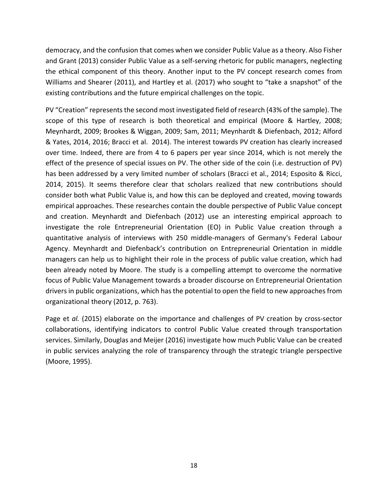democracy, and the confusion that comes when we consider Public Value as a theory. Also Fisher and Grant (2013) consider Public Value as a self-serving rhetoric for public managers, neglecting the ethical component of this theory. Another input to the PV concept research comes from Williams and Shearer (2011), and Hartley et al. (2017) who sought to "take a snapshot" of the existing contributions and the future empirical challenges on the topic.

PV "Creation" represents the second most investigated field of research (43% of the sample). The scope of this type of research is both theoretical and empirical (Moore & Hartley, 2008; Meynhardt, 2009; Brookes & Wiggan, 2009; Sam, 2011; Meynhardt & Diefenbach, 2012; Alford & Yates, 2014, 2016; Bracci et al. 2014). The interest towards PV creation has clearly increased over time. Indeed, there are from 4 to 6 papers per year since 2014, which is not merely the effect of the presence of special issues on PV. The other side of the coin (i.e. destruction of PV) has been addressed by a very limited number of scholars (Bracci et al., 2014; Esposito & Ricci, 2014, 2015). It seems therefore clear that scholars realized that new contributions should consider both what Public Value is, and how this can be deployed and created, moving towards empirical approaches. These researches contain the double perspective of Public Value concept and creation. Meynhardt and Diefenbach (2012) use an interesting empirical approach to investigate the role Entrepreneurial Orientation (EO) in Public Value creation through a quantitative analysis of interviews with 250 middle-managers of Germany's Federal Labour Agency. Meynhardt and Diefenback's contribution on Entrepreneurial Orientation in middle managers can help us to highlight their role in the process of public value creation, which had been already noted by Moore. The study is a compelling attempt to overcome the normative focus of Public Value Management towards a broader discourse on Entrepreneurial Orientation drivers in public organizations, which has the potential to open the field to new approaches from organizational theory (2012, p. 763).

Page et *al.* (2015) elaborate on the importance and challenges of PV creation by cross-sector collaborations, identifying indicators to control Public Value created through transportation services. Similarly, Douglas and Meijer (2016) investigate how much Public Value can be created in public services analyzing the role of transparency through the strategic triangle perspective (Moore, 1995).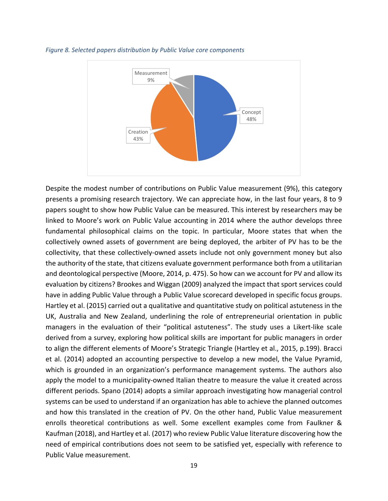

#### *Figure 8. Selected papers distribution by Public Value core components*

Despite the modest number of contributions on Public Value measurement (9%), this category presents a promising research trajectory. We can appreciate how, in the last four years, 8 to 9 papers sought to show how Public Value can be measured. This interest by researchers may be linked to Moore's work on Public Value accounting in 2014 where the author develops three fundamental philosophical claims on the topic. In particular, Moore states that when the collectively owned assets of government are being deployed, the arbiter of PV has to be the collectivity, that these collectively-owned assets include not only government money but also the authority of the state, that citizens evaluate government performance both from a utilitarian and deontological perspective (Moore, 2014, p. 475). So how can we account for PV and allow its evaluation by citizens? Brookes and Wiggan (2009) analyzed the impact that sport services could have in adding Public Value through a Public Value scorecard developed in specific focus groups. Hartley et al. (2015) carried out a qualitative and quantitative study on political astuteness in the UK, Australia and New Zealand, underlining the role of entrepreneurial orientation in public managers in the evaluation of their "political astuteness". The study uses a Likert-like scale derived from a survey, exploring how political skills are important for public managers in order to align the different elements of Moore's Strategic Triangle (Hartley et al., 2015, p.199). Bracci et al. (2014) adopted an accounting perspective to develop a new model, the Value Pyramid, which is grounded in an organization's performance management systems. The authors also apply the model to a municipality-owned Italian theatre to measure the value it created across different periods. Spano (2014) adopts a similar approach investigating how managerial control systems can be used to understand if an organization has able to achieve the planned outcomes and how this translated in the creation of PV. On the other hand, Public Value measurement enrolls theoretical contributions as well. Some excellent examples come from Faulkner & Kaufman (2018), and Hartley et al. (2017) who review Public Value literature discovering how the need of empirical contributions does not seem to be satisfied yet, especially with reference to Public Value measurement.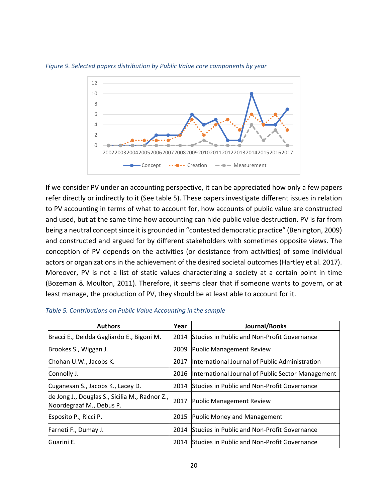

*Figure 9. Selected papers distribution by Public Value core components by year*

If we consider PV under an accounting perspective, it can be appreciated how only a few papers refer directly or indirectly to it (See table 5). These papers investigate different issues in relation to PV accounting in terms of what to account for, how accounts of public value are constructed and used, but at the same time how accounting can hide public value destruction. PV is far from being a neutral concept since it is grounded in "contested democratic practice" (Benington, 2009) and constructed and argued for by different stakeholders with sometimes opposite views. The conception of PV depends on the activities (or desistance from activities) of some individual actors or organizations in the achievement of the desired societal outcomes (Hartley et al. 2017). Moreover, PV is not a list of static values characterizing a society at a certain point in time (Bozeman & Moulton, 2011). Therefore, it seems clear that if someone wants to govern, or at least manage, the production of PV, they should be at least able to account for it.

| <b>Authors</b>                                                             | Year | Journal/Books                                      |
|----------------------------------------------------------------------------|------|----------------------------------------------------|
| Bracci E., Deidda Gagliardo E., Bigoni M.                                  | 2014 | Studies in Public and Non-Profit Governance        |
| Brookes S., Wiggan J.                                                      | 2009 | Public Management Review                           |
| Chohan U.W., Jacobs K.                                                     | 2017 | International Journal of Public Administration     |
| Connolly J.                                                                | 2016 | International Journal of Public Sector Management  |
| Cuganesan S., Jacobs K., Lacey D.                                          | 2014 | Studies in Public and Non-Profit Governance        |
| de Jong J., Douglas S., Sicilia M., Radnor Z.,<br>Noordegraaf M., Debus P. | 2017 | Public Management Review                           |
| Esposito P., Ricci P.                                                      | 2015 | <b>Public Money and Management</b>                 |
| Farneti F., Dumay J.                                                       | 2014 | Studies in Public and Non-Profit Governance        |
| Guarini E.                                                                 | 2014 | <b>Studies in Public and Non-Profit Governance</b> |

|  |  |  | Table 5. Contributions on Public Value Accounting in the sample |  |
|--|--|--|-----------------------------------------------------------------|--|
|--|--|--|-----------------------------------------------------------------|--|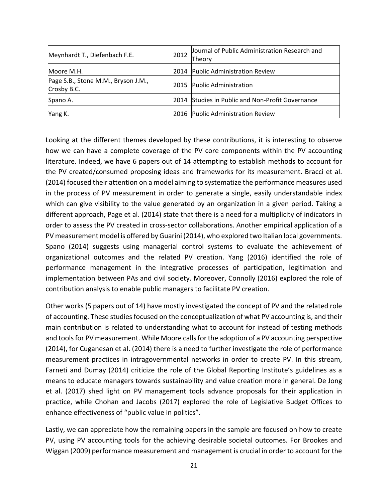| Meynhardt T., Diefenbach F.E.                      | 2012 | Journal of Public Administration Research and<br>Theory |
|----------------------------------------------------|------|---------------------------------------------------------|
| Moore M.H.                                         | 2014 | <b>Public Administration Review</b>                     |
| Page S.B., Stone M.M., Bryson J.M.,<br>Crosby B.C. | 2015 | Public Administration                                   |
| Spano A.                                           | 2014 | Studies in Public and Non-Profit Governance             |
| Yang K.                                            | 2016 | <b>Public Administration Review</b>                     |

Looking at the different themes developed by these contributions, it is interesting to observe how we can have a complete coverage of the PV core components within the PV accounting literature. Indeed, we have 6 papers out of 14 attempting to establish methods to account for the PV created/consumed proposing ideas and frameworks for its measurement. Bracci et al. (2014) focused their attention on a model aiming to systematize the performance measures used in the process of PV measurement in order to generate a single, easily understandable index which can give visibility to the value generated by an organization in a given period. Taking a different approach, Page et al. (2014) state that there is a need for a multiplicity of indicators in order to assess the PV created in cross-sector collaborations. Another empirical application of a PV measurement model is offered by Guarini (2014), who explored two Italian local governments. Spano (2014) suggests using managerial control systems to evaluate the achievement of organizational outcomes and the related PV creation. Yang (2016) identified the role of performance management in the integrative processes of participation, legitimation and implementation between PAs and civil society. Moreover, Connolly (2016) explored the role of contribution analysis to enable public managers to facilitate PV creation.

Other works (5 papers out of 14) have mostly investigated the concept of PV and the related role of accounting. These studies focused on the conceptualization of what PV accounting is, and their main contribution is related to understanding what to account for instead of testing methods and tools for PV measurement. While Moore calls for the adoption of a PV accounting perspective (2014), for Cuganesan et al. (2014) there is a need to further investigate the role of performance measurement practices in intragovernmental networks in order to create PV. In this stream, Farneti and Dumay (2014) criticize the role of the Global Reporting Institute's guidelines as a means to educate managers towards sustainability and value creation more in general. De Jong et al. (2017) shed light on PV management tools advance proposals for their application in practice, while Chohan and Jacobs (2017) explored the role of Legislative Budget Offices to enhance effectiveness of "public value in politics".

Lastly, we can appreciate how the remaining papers in the sample are focused on how to create PV, using PV accounting tools for the achieving desirable societal outcomes. For Brookes and Wiggan (2009) performance measurement and management is crucial in order to account for the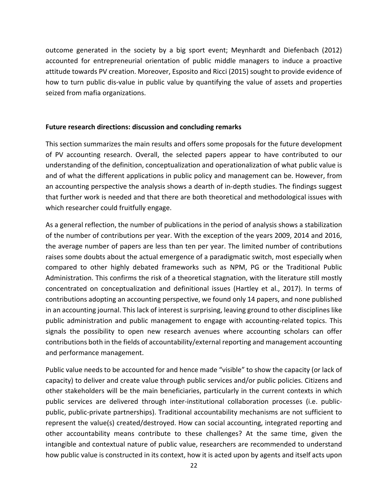outcome generated in the society by a big sport event; Meynhardt and Diefenbach (2012) accounted for entrepreneurial orientation of public middle managers to induce a proactive attitude towards PV creation. Moreover, Esposito and Ricci (2015) sought to provide evidence of how to turn public dis-value in public value by quantifying the value of assets and properties seized from mafia organizations.

#### **Future research directions: discussion and concluding remarks**

This section summarizes the main results and offers some proposals for the future development of PV accounting research. Overall, the selected papers appear to have contributed to our understanding of the definition, conceptualization and operationalization of what public value is and of what the different applications in public policy and management can be. However, from an accounting perspective the analysis shows a dearth of in-depth studies. The findings suggest that further work is needed and that there are both theoretical and methodological issues with which researcher could fruitfully engage.

As a general reflection, the number of publications in the period of analysis shows a stabilization of the number of contributions per year. With the exception of the years 2009, 2014 and 2016, the average number of papers are less than ten per year. The limited number of contributions raises some doubts about the actual emergence of a paradigmatic switch, most especially when compared to other highly debated frameworks such as NPM, PG or the Traditional Public Administration. This confirms the risk of a theoretical stagnation, with the literature still mostly concentrated on conceptualization and definitional issues (Hartley et al., 2017). In terms of contributions adopting an accounting perspective, we found only 14 papers, and none published in an accounting journal. This lack of interest is surprising, leaving ground to other disciplines like public administration and public management to engage with accounting-related topics. This signals the possibility to open new research avenues where accounting scholars can offer contributions both in the fields of accountability/external reporting and management accounting and performance management.

Public value needs to be accounted for and hence made "visible" to show the capacity (or lack of capacity) to deliver and create value through public services and/or public policies. Citizens and other stakeholders will be the main beneficiaries, particularly in the current contexts in which public services are delivered through inter-institutional collaboration processes (i.e. publicpublic, public-private partnerships). Traditional accountability mechanisms are not sufficient to represent the value(s) created/destroyed. How can social accounting, integrated reporting and other accountability means contribute to these challenges? At the same time, given the intangible and contextual nature of public value, researchers are recommended to understand how public value is constructed in its context, how it is acted upon by agents and itself acts upon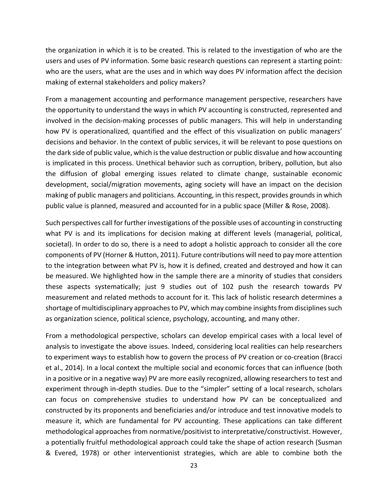the organization in which it is to be created. This is related to the investigation of who are the users and uses of PV information. Some basic research questions can represent a starting point: who are the users, what are the uses and in which way does PV information affect the decision making of external stakeholders and policy makers?

From a management accounting and performance management perspective, researchers have the opportunity to understand the ways in which PV accounting is constructed, represented and involved in the decision-making processes of public managers. This will help in understanding how PV is operationalized, quantified and the effect of this visualization on public managers' decisions and behavior. In the context of public services, it will be relevant to pose questions on the dark side of public value, which is the value destruction or public disvalue and how accounting is implicated in this process. Unethical behavior such as corruption, bribery, pollution, but also the diffusion of global emerging issues related to climate change, sustainable economic development, social/migration movements, aging society will have an impact on the decision making of public managers and politicians. Accounting, in this respect, provides grounds in which public value is planned, measured and accounted for in a public space (Miller & Rose, 2008).

Such perspectives call for further investigations of the possible uses of accounting in constructing what PV is and its implications for decision making at different levels (managerial, political, societal). In order to do so, there is a need to adopt a holistic approach to consider all the core components of PV (Horner & Hutton, 2011). Future contributions will need to pay more attention to the integration between what PV is, how it is defined, created and destroyed and how it can be measured. We highlighted how in the sample there are a minority of studies that considers these aspects systematically; just 9 studies out of 102 push the research towards PV measurement and related methods to account for it. This lack of holistic research determines a shortage of multidisciplinary approaches to PV, which may combine insights from disciplines such as organization science, political science, psychology, accounting, and many other.

From a methodological perspective, scholars can develop empirical cases with a local level of analysis to investigate the above issues. Indeed, considering local realities can help researchers to experiment ways to establish how to govern the process of PV creation or co-creation (Bracci et al., 2014). In a local context the multiple social and economic forces that can influence (both in a positive or in a negative way) PV are more easily recognized, allowing researchers to test and experiment through in-depth studies. Due to the "simpler" setting of a local research, scholars can focus on comprehensive studies to understand how PV can be conceptualized and constructed by its proponents and beneficiaries and/or introduce and test innovative models to measure it, which are fundamental for PV accounting. These applications can take different methodological approaches from normative/positivist to interpretative/constructivist. However, a potentially fruitful methodological approach could take the shape of action research (Susman & Evered, 1978) or other interventionist strategies, which are able to combine both the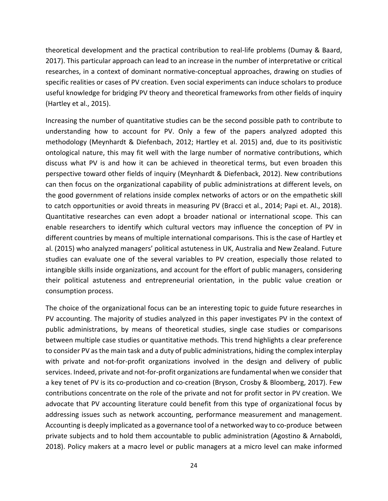theoretical development and the practical contribution to real-life problems (Dumay & Baard, 2017). This particular approach can lead to an increase in the number of interpretative or critical researches, in a context of dominant normative-conceptual approaches, drawing on studies of specific realities or cases of PV creation. Even social experiments can induce scholars to produce useful knowledge for bridging PV theory and theoretical frameworks from other fields of inquiry (Hartley et al., 2015).

Increasing the number of quantitative studies can be the second possible path to contribute to understanding how to account for PV. Only a few of the papers analyzed adopted this methodology (Meynhardt & Diefenbach, 2012; Hartley et al. 2015) and, due to its positivistic ontological nature, this may fit well with the large number of normative contributions, which discuss what PV is and how it can be achieved in theoretical terms, but even broaden this perspective toward other fields of inquiry (Meynhardt & Diefenback, 2012). New contributions can then focus on the organizational capability of public administrations at different levels, on the good government of relations inside complex networks of actors or on the empathetic skill to catch opportunities or avoid threats in measuring PV (Bracci et al., 2014; Papi et. Al., 2018). Quantitative researches can even adopt a broader national or international scope. This can enable researchers to identify which cultural vectors may influence the conception of PV in different countries by means of multiple international comparisons. This is the case of Hartley et al. (2015) who analyzed managers' political astuteness in UK, Australia and New Zealand. Future studies can evaluate one of the several variables to PV creation, especially those related to intangible skills inside organizations, and account for the effort of public managers, considering their political astuteness and entrepreneurial orientation, in the public value creation or consumption process.

The choice of the organizational focus can be an interesting topic to guide future researches in PV accounting. The majority of studies analyzed in this paper investigates PV in the context of public administrations, by means of theoretical studies, single case studies or comparisons between multiple case studies or quantitative methods. This trend highlights a clear preference to consider PV as the main task and a duty of public administrations, hiding the complex interplay with private and not-for-profit organizations involved in the design and delivery of public services. Indeed, private and not-for-profit organizations are fundamental when we consider that a key tenet of PV is its co-production and co-creation (Bryson, Crosby & Bloomberg, 2017). Few contributions concentrate on the role of the private and not for profit sector in PV creation. We advocate that PV accounting literature could benefit from this type of organizational focus by addressing issues such as network accounting, performance measurement and management. Accounting is deeply implicated as a governance tool of a networked way to co-produce between private subjects and to hold them accountable to public administration (Agostino & Arnaboldi, 2018). Policy makers at a macro level or public managers at a micro level can make informed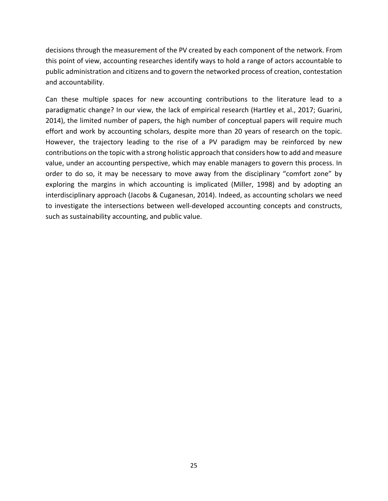decisions through the measurement of the PV created by each component of the network. From this point of view, accounting researches identify ways to hold a range of actors accountable to public administration and citizens and to govern the networked process of creation, contestation and accountability.

Can these multiple spaces for new accounting contributions to the literature lead to a paradigmatic change? In our view, the lack of empirical research (Hartley et al., 2017; Guarini, 2014), the limited number of papers, the high number of conceptual papers will require much effort and work by accounting scholars, despite more than 20 years of research on the topic. However, the trajectory leading to the rise of a PV paradigm may be reinforced by new contributions on the topic with a strong holistic approach that considers how to add and measure value, under an accounting perspective, which may enable managers to govern this process. In order to do so, it may be necessary to move away from the disciplinary "comfort zone" by exploring the margins in which accounting is implicated (Miller, 1998) and by adopting an interdisciplinary approach (Jacobs & Cuganesan, 2014). Indeed, as accounting scholars we need to investigate the intersections between well-developed accounting concepts and constructs, such as sustainability accounting, and public value.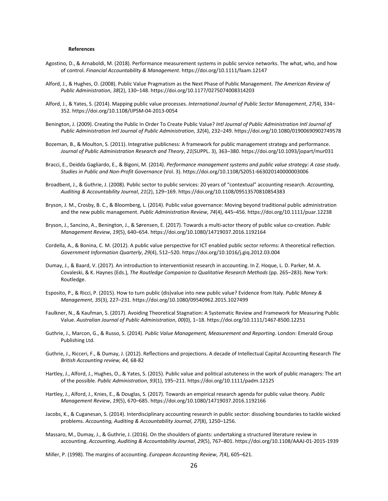#### **References**

- Agostino, D., & Arnaboldi, M. (2018). Performance measurement systems in public service networks. The what, who, and how of control. *Financial Accountability & Management*. https://doi.org/10.1111/faam.12147
- Alford, J., & Hughes, O. (2008). Public Value Pragmatism as the Next Phase of Public Management. *The American Review of Public Administration*, *38*(2), 130–148. https://doi.org/10.1177/0275074008314203
- Alford, J., & Yates, S. (2014). Mapping public value processes. *International Journal of Public Sector Management*, *27*(4), 334– 352. https://doi.org/10.1108/IJPSM-04-2013-0054
- Benington, J. (2009). Creating the Public In Order To Create Public Value? *Intl Journal of Public Administration Intl Journal of Public Administration Intl Journal of Public Administration*, *32*(4), 232–249. https://doi.org/10.1080/01900690902749578
- Bozeman, B., & Moulton, S. (2011). Integrative publicness: A framework for public management strategy and performance. *Journal of Public Administration Research and Theory*, *21*(SUPPL. 3), 363–380. https://doi.org/10.1093/jopart/mur031
- Bracci, E., Deidda Gagliardo, E., & Bigoni, M. (2014). *Performance management systems and public value strategy: A case study*. *Studies in Public and Non-Profit Governance* (Vol. 3). https://doi.org/10.1108/S2051-663020140000003006
- Broadbent, J., & Guthrie, J. (2008). Public sector to public services: 20 years of "contextual" accounting research. *Accounting, Auditing & Accountability Journal*, *21*(2), 129–169. https://doi.org/10.1108/09513570810854383
- Bryson, J. M., Crosby, B. C., & Bloomberg, L. (2014). Public value governance: Moving beyond traditional public administration and the new public management. *Public Administration Review*, *74*(4), 445–456. https://doi.org/10.1111/puar.12238
- Bryson, J., Sancino, A., Benington, J., & Sørensen, E. (2017). Towards a multi-actor theory of public value co-creation. *Public Management Review*, *19*(5), 640–654. https://doi.org/10.1080/14719037.2016.1192164
- Cordella, A., & Bonina, C. M. (2012). A public value perspective for ICT enabled public sector reforms: A theoretical reflection. *Government Information Quarterly*, *29*(4), 512–520. https://doi.org/10.1016/j.giq.2012.03.004
- Dumay, J., & Baard, V. (2017). An introduction to interventionist research in accounting. In Z. Hoque, L. D. Parker, M. A. Covaleski, & K. Haynes (Eds.), *The Routledge Companion to Qualitative Research Methods* (pp. 265–283). New York: Routledge.
- Esposito, P., & Ricci, P. (2015). How to turn public (dis)value into new public value? Evidence from Italy. *Public Money & Management*, *35*(3), 227–231. https://doi.org/10.1080/09540962.2015.1027499
- Faulkner, N., & Kaufman, S. (2017). Avoiding Theoretical Stagnation: A Systematic Review and Framework for Measuring Public Value. *Australian Journal of Public Administration*, *00*(0), 1–18. https://doi.org/10.1111/1467-8500.12251
- Guthrie, J., Marcon, G., & Russo, S. (2014). *Public Value Management, Measurement and Reporting*. London: Emerald Group Publishing Ltd.
- Guthrie, J., Ricceri, F., & Dumay, J. (2012). Reflections and projections. A decade of Intellectual Capital Accounting Research *The British Accounting review, 44,* 68-82
- Hartley, J., Alford, J., Hughes, O., & Yates, S. (2015). Public value and political astuteness in the work of public managers: The art of the possible. *Public Administration*, *93*(1), 195–211. https://doi.org/10.1111/padm.12125
- Hartley, J., Alford, J., Knies, E., & Douglas, S. (2017). Towards an empirical research agenda for public value theory. *Public Management Review*, *19*(5), 670–685. https://doi.org/10.1080/14719037.2016.1192166
- Jacobs, K., & Cuganesan, S. (2014). Interdisciplinary accounting research in public sector: dissolving boundaries to tackle wicked problems. *Accounting, Auditing & Accountability Journal*, *27*(8), 1250–1256.
- Massaro, M., Dumay, J., & Guthrie, J. (2016). On the shoulders of giants: undertaking a structured literature review in accounting. *Accounting, Auditing & Accountability Journal*, *29*(5), 767–801. https://doi.org/10.1108/AAAJ-01-2015-1939

Miller, P. (1998). The margins of accounting. *European Accounting Review*, *7*(4), 605–621.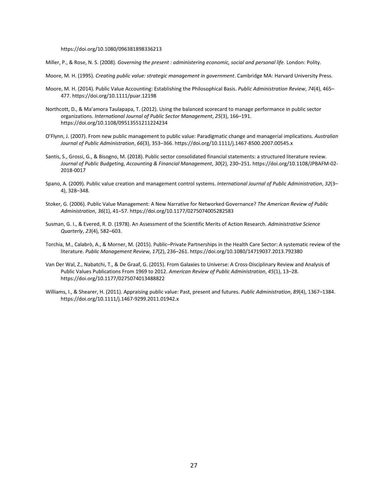#### https://doi.org/10.1080/096381898336213

Miller, P., & Rose, N. S. (2008). *Governing the present : administering economic, social and personal life*. London: Polity.

- Moore, M. H. (1995). *Creating public value: strategic management in government*. Cambridge MA: Harvard University Press.
- Moore, M. H. (2014). Public Value Accounting: Establishing the Philosophical Basis. *Public Administration Review*, *74*(4), 465– 477. https://doi.org/10.1111/puar.12198
- Northcott, D., & Ma'amora Taulapapa, T. (2012). Using the balanced scorecard to manage performance in public sector organizations. *International Journal of Public Sector Management*, *25*(3), 166–191. https://doi.org/10.1108/09513551211224234
- O'Flynn, J. (2007). From new public management to public value: Paradigmatic change and managerial implications. *Australian Journal of Public Administration*, *66*(3), 353–366. https://doi.org/10.1111/j.1467-8500.2007.00545.x
- Santis, S., Grossi, G., & Bisogno, M. (2018). Public sector consolidated financial statements: a structured literature review. *Journal of Public Budgeting, Accounting & Financial Management*, *30*(2), 230–251. https://doi.org/10.1108/JPBAFM-02- 2018-0017
- Spano, A. (2009). Public value creation and management control systems. *International Journal of Public Administration*, *32*(3– 4), 328–348.
- Stoker, G. (2006). Public Value Management: A New Narrative for Networked Governance? *The American Review of Public Administration*, *36*(1), 41–57. https://doi.org/10.1177/0275074005282583
- Susman, G. I., & Evered, R. D. (1978). An Assessment of the Scientific Merits of Action Research. *Administrative Science Quarterly*, *23*(4), 582–603.
- Torchia, M., Calabrò, A., & Morner, M. (2015). Public–Private Partnerships in the Health Care Sector: A systematic review of the literature. *Public Management Review*, *17*(2), 236–261. https://doi.org/10.1080/14719037.2013.792380
- Van Der Wal, Z., Nabatchi, T., & De Graaf, G. (2015). From Galaxies to Universe: A Cross-Disciplinary Review and Analysis of Public Values Publications From 1969 to 2012. *American Review of Public Administration*, *45*(1), 13–28. https://doi.org/10.1177/0275074013488822
- Williams, I., & Shearer, H. (2011). Appraising public value: Past, present and futures. *Public Administration*, *89*(4), 1367–1384. https://doi.org/10.1111/j.1467-9299.2011.01942.x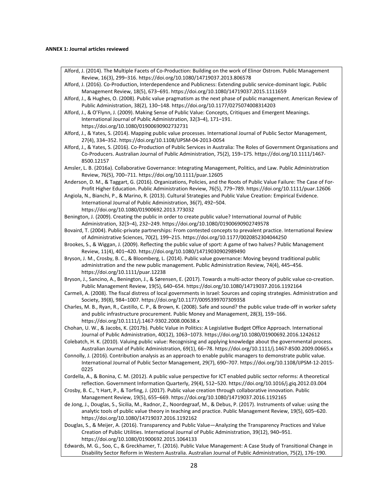#### **ANNEX 1: Journal articles reviewed**

- Alford, J. (2014). The Multiple Facets of Co-Production: Building on the work of Elinor Ostrom. Public Management Review, 16(3), 299–316. https://doi.org/10.1080/14719037.2013.806578
- Alford, J. (2016). Co-Production, Interdependence and Publicness: Extending public service-dominant logic. Public Management Review, 18(5), 673–691. https://doi.org/10.1080/14719037.2015.1111659
- Alford, J., & Hughes, O. (2008). Public value pragmatism as the next phase of public management. American Review of Public Administration, 38(2), 130–148. https://doi.org/10.1177/0275074008314203
- Alford, J., & O'Flynn, J. (2009). Making Sense of Public Value: Concepts, Critiques and Emergent Meanings. International Journal of Public Administration, 32(3–4), 171–191. https://doi.org/10.1080/01900690902732731
- Alford, J., & Yates, S. (2014). Mapping public value processes. International Journal of Public Sector Management, 27(4), 334–352. https://doi.org/10.1108/IJPSM-04-2013-0054
- Alford, J., & Yates, S. (2016). Co-Production of Public Services in Australia: The Roles of Government Organisations and Co-Producers. Australian Journal of Public Administration, 75(2), 159–175. https://doi.org/10.1111/1467- 8500.12157
- Amsler, L. B. (2016a). Collaborative Governance: Integrating Management, Politics, and Law. Public Administration Review, 76(5), 700–711. https://doi.org/10.1111/puar.12605
- Anderson, D. M., & Taggart, G. (2016). Organizations, Policies, and the Roots of Public Value Failure: The Case of For-Profit Higher Education. Public Administration Review, 76(5), 779–789. https://doi.org/10.1111/puar.12606
- Angiola, N., Bianchi, P., & Marino, R. (2013). Cultural Strategies and Public Value Creation: Empirical Evidence. International Journal of Public Administration, 36(7), 492–504. https://doi.org/10.1080/01900692.2013.773032
- Benington, J. (2009). Creating the public in order to create public value? International Journal of Public Administration, 32(3–4), 232–249. https://doi.org/10.1080/01900690902749578
- Bovaird, T. (2004). Public-private partnerships: From contested concepts to prevalent practice. International Review of Administrative Sciences, 70(2), 199–215. https://doi.org/10.1177/0020852304044250
- Brookes, S., & Wiggan, J. (2009). Reflecting the public value of sport: A game of two halves? Public Management Review, 11(4), 401–420. https://doi.org/10.1080/14719030902989490
- Bryson, J. M., Crosby, B. C., & Bloomberg, L. (2014). Public value governance: Moving beyond traditional public administration and the new public management. Public Administration Review, 74(4), 445–456. https://doi.org/10.1111/puar.12238
- Bryson, J., Sancino, A., Benington, J., & Sørensen, E. (2017). Towards a multi-actor theory of public value co-creation. Public Management Review, 19(5), 640–654. https://doi.org/10.1080/14719037.2016.1192164
- Carmeli, A. (2008). The fiscal distress of local governments in Israel: Sources and coping strategies. Administration and Society, 39(8), 984–1007. https://doi.org/10.1177/0095399707309358
- Charles, M. B., Ryan, R., Castillo, C. P., & Brown, K. (2008). Safe and sound? the public value trade-off in worker safety and public infrastructure procurement. Public Money and Management, 28(3), 159–166. https://doi.org/10.1111/j.1467-9302.2008.00638.x
- Chohan, U. W., & Jacobs, K. (2017b). Public Value in Politics: A Legislative Budget Office Approach. International Journal of Public Administration, 40(12), 1063–1073. https://doi.org/10.1080/01900692.2016.1242612
- Colebatch, H. K. (2010). Valuing public value: Recognising and applying knowledge about the governmental process. Australian Journal of Public Administration, 69(1), 66–78. https://doi.org/10.1111/j.1467-8500.2009.00665.x
- Connolly, J. (2016). Contribution analysis as an approach to enable public managers to demonstrate public value. International Journal of Public Sector Management, 29(7), 690–707. https://doi.org/10.1108/IJPSM-12-2015- 0225
- Cordella, A., & Bonina, C. M. (2012). A public value perspective for ICT enabled public sector reforms: A theoretical reflection. Government Information Quarterly, 29(4), 512–520. https://doi.org/10.1016/j.giq.2012.03.004
- Crosby, B. C., 't Hart, P., & Torfing, J. (2017). Public value creation through collaborative innovation. Public Management Review, 19(5), 655–669. https://doi.org/10.1080/14719037.2016.1192165
- de Jong, J., Douglas, S., Sicilia, M., Radnor, Z., Noordegraaf, M., & Debus, P. (2017). Instruments of value: using the analytic tools of public value theory in teaching and practice. Public Management Review, 19(5), 605–620. https://doi.org/10.1080/14719037.2016.1192162
- Douglas, S., & Meijer, A. (2016). Transparency and Public Value—Analyzing the Transparency Practices and Value Creation of Public Utilities. International Journal of Public Administration, 39(12), 940–951. https://doi.org/10.1080/01900692.2015.1064133
- Edwards, M. G., Soo, C., & Greckhamer, T. (2016). Public Value Management: A Case Study of Transitional Change in Disability Sector Reform in Western Australia. Australian Journal of Public Administration, 75(2), 176–190.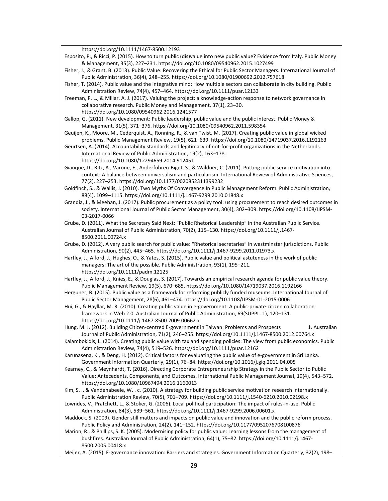https://doi.org/10.1111/1467-8500.12193

- Esposito, P., & Ricci, P. (2015). How to turn public (dis)value into new public value? Evidence from Italy. Public Money & Management, 35(3), 227–231. https://doi.org/10.1080/09540962.2015.1027499
- Fisher, J., & Grant, B. (2013). Public Value: Recovering the Ethical for Public Sector Managers. International Journal of Public Administration, 36(4), 248–255. https://doi.org/10.1080/01900692.2012.757618
- Fisher, T. (2014). Public value and the integrative mind: How multiple sectors can collaborate in city building. Public Administration Review, 74(4), 457–464. https://doi.org/10.1111/puar.12133
- Freeman, P. L., & Millar, A. J. (2017). Valuing the project: a knowledge-action response to network governance in collaborative research. Public Money and Management, 37(1), 23–30. https://doi.org/10.1080/09540962.2016.1241577
- Gallop, G. (2011). New development: Public leadership, public value and the public interest. Public Money & Management, 31(5), 371–376. https://doi.org/10.1080/09540962.2011.598354
- Geuijen, K., Moore, M., Cederquist, A., Ronning, R., & van Twist, M. (2017). Creating public value in global wicked problems. Public Management Review, 19(5), 621–639. https://doi.org/10.1080/14719037.2016.1192163
- Geurtsen, A. (2014). Accountability standards and legitimacy of not-for-profit organizations in the Netherlands. International Review of Public Administration, 19(2), 163–178. https://doi.org/10.1080/12294659.2014.912451
- Giauque, D., Ritz, A., Varone, F., Anderfuhren-Biget, S., & Waldner, C. (2011). Putting public service motivation into context: A balance between universalism and particularism. International Review of Administrative Sciences, 77(2), 227–253. https://doi.org/10.1177/0020852311399232
- Goldfinch, S., & Wallis, J. (2010). Two Myths Of Convergence In Public Management Reform. Public Administration, 88(4), 1099–1115. https://doi.org/10.1111/j.1467-9299.2010.01848.x
- Grandia, J., & Meehan, J. (2017). Public procurement as a policy tool: using procurement to reach desired outcomes in society. International Journal of Public Sector Management, 30(4), 302–309. https://doi.org/10.1108/IJPSM-03-2017-0066
- Grube, D. (2011). What the Secretary Said Next: "Public Rhetorical Leadership" in the Australian Public Service. Australian Journal of Public Administration, 70(2), 115–130. https://doi.org/10.1111/j.1467- 8500.2011.00724.x
- Grube, D. (2012). A very public search for public value: "Rhetorical secretaries" in westminster jurisdictions. Public Administration, 90(2), 445–465. https://doi.org/10.1111/j.1467-9299.2011.01973.x
- Hartley, J., Alford, J., Hughes, O., & Yates, S. (2015). Public value and political astuteness in the work of public managers: The art of the possible. Public Administration, 93(1), 195–211. https://doi.org/10.1111/padm.12125

Hartley, J., Alford, J., Knies, E., & Douglas, S. (2017). Towards an empirical research agenda for public value theory. Public Management Review, 19(5), 670–685. https://doi.org/10.1080/14719037.2016.1192166

- Herguner, B. (2015). Public value as a framework for reforming publicly funded museums. International Journal of Public Sector Management, 28(6), 461–474. https://doi.org/10.1108/IJPSM-01-2015-0006
- Hui, G., & Hayllar, M. R. (2010). Creating public value in e-government: A public-private-citizen collaboration framework in Web 2.0. Australian Journal of Public Administration, 69(SUPPL. 1), 120–131. https://doi.org/10.1111/j.1467-8500.2009.00662.x
- Hung, M. J. (2012). Building Citizen-centred E-government in Taiwan: Problems and Prospects 1. Australian Journal of Public Administration, 71(2), 246–255. https://doi.org/10.1111/j.1467-8500.2012.00764.x
- Kalambokidis, L. (2014). Creating public value with tax and spending policies: The view from public economics. Public Administration Review, 74(4), 519–526. https://doi.org/10.1111/puar.12162
- Karunasena, K., & Deng, H. (2012). Critical factors for evaluating the public value of e-government in Sri Lanka. Government Information Quarterly, 29(1), 76–84. https://doi.org/10.1016/j.giq.2011.04.005
- Kearney, C., & Meynhardt, T. (2016). Directing Corporate Entrepreneurship Strategy in the Public Sector to Public Value: Antecedents, Components, and Outcomes. International Public Management Journal, 19(4), 543–572. https://doi.org/10.1080/10967494.2016.1160013
- Kim, S. ., & Vandenabeele, W. . c. (2010). A strategy for building public service motivation research internationally. Public Administration Review, 70(5), 701–709. https://doi.org/10.1111/j.1540-6210.2010.02198.x
- Lowndes, V., Pratchett, L., & Stoker, G. (2006). Local political participation: The impact of rules-in-use. Public Administration, 84(3), 539–561. https://doi.org/10.1111/j.1467-9299.2006.00601.x
- Maddock, S. (2009). Gender still matters and impacts on public value and innovation and the public reform process. Public Policy and Administration, 24(2), 141–152. https://doi.org/10.1177/0952076708100876
- Marion, R., & Phillips, S. K. (2005). Modernising policy for public value: Learning lessons from the management of bushfires. Australian Journal of Public Administration, 64(1), 75–82. https://doi.org/10.1111/j.1467- 8500.2005.00418.x
- Meijer, A. (2015). E-governance innovation: Barriers and strategies. Government Information Quarterly, 32(2), 198–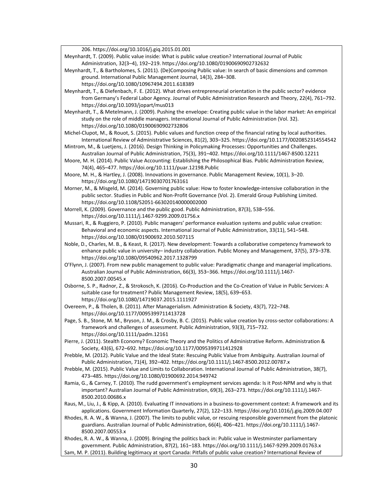206. https://doi.org/10.1016/j.giq.2015.01.001

Meynhardt, T. (2009). Public value inside: What is public value creation? International Journal of Public Administration, 32(3–4), 192–219. https://doi.org/10.1080/01900690902732632

- Meynhardt, T., & Bartholomes, S. (2011). (De)Composing Public value: In search of basic dimensions and common ground. International Public Management Journal, 14(3), 284–308. https://doi.org/10.1080/10967494.2011.618389
- Meynhardt, T., & Diefenbach, F. E. (2012). What drives entrepreneurial orientation in the public sector? evidence from Germany's Federal Labor Agency. Journal of Public Administration Research and Theory, 22(4), 761–792. https://doi.org/10.1093/jopart/mus013

Meynhardt, T., & Metelmann, J. (2009). Pushing the envelope: Creating public value in the labor market: An empirical study on the role of middle managers. International Journal of Public Administration (Vol. 32). https://doi.org/10.1080/01900690902732806

- Michel-Clupot, M., & Rouot, S. (2015). Public values and function creep of the financial rating by local authorities. International Review of Administrative Sciences, 81(2), 303–325. https://doi.org/10.1177/0020852314554542
- Mintrom, M., & Luetjens, J. (2016). Design Thinking in Policymaking Processes: Opportunities and Challenges. Australian Journal of Public Administration, 75(3), 391–402. https://doi.org/10.1111/1467-8500.12211
- Moore, M. H. (2014). Public Value Accounting: Establishing the Philosophical Bias. Public Administration Review, 74(4), 465–477. https://doi.org/10.1111/puar.12198.Public
- Moore, M. H., & Hartley, J. (2008). Innovations in governance. Public Management Review, 10(1), 3–20. https://doi.org/10.1080/14719030701763161
- Morner, M., & Misgeld, M. (2014). Governing public value: How to foster knowledge-intensive collaboration in the public sector. Studies in Public and Non-Profit Governance (Vol. 2). Emerald Group Publishing Limited. https://doi.org/10.1108/S2051-663020140000002000
- Morrell, K. (2009). Governance and the public good. Public Administration, 87(3), 538–556. https://doi.org/10.1111/j.1467-9299.2009.01756.x
- Mussari, R., & Ruggiero, P. (2010). Public managers' performance evaluation systems and public value creation: Behavioral and economic aspects. International Journal of Public Administration, 33(11), 541–548. https://doi.org/10.1080/01900692.2010.507115
- Noble, D., Charles, M. B., & Keast, R. (2017). New development: Towards a collaborative competency framework to enhance public value in university– industry collaboration. Public Money and Management, 37(5), 373–378. https://doi.org/10.1080/09540962.2017.1328799
- O'Flynn, J. (2007). From new public management to public value: Paradigmatic change and managerial implications. Australian Journal of Public Administration, 66(3), 353–366. https://doi.org/10.1111/j.1467- 8500.2007.00545.x
- Osborne, S. P., Radnor, Z., & Strokosch, K. (2016). Co-Production and the Co-Creation of Value in Public Services: A suitable case for treatment? Public Management Review, 18(5), 639–653. https://doi.org/10.1080/14719037.2015.1111927
- Overeem, P., & Tholen, B. (2011). After Managerialism. Administration & Society, 43(7), 722–748. https://doi.org/10.1177/0095399711413728
- Page, S. B., Stone, M. M., Bryson, J. M., & Crosby, B. C. (2015). Public value creation by cross-sector collaborations: A framework and challenges of assessment. Public Administration, 93(3), 715–732. https://doi.org/10.1111/padm.12161
- Pierre, J. (2011). Stealth Economy? Economic Theory and the Politics of Administrative Reform. Administration & Society, 43(6), 672–692. https://doi.org/10.1177/0095399711412928
- Prebble, M. (2012). Public Value and the Ideal State: Rescuing Public Value from Ambiguity. Australian Journal of Public Administration, 71(4), 392–402. https://doi.org/10.1111/j.1467-8500.2012.00787.x
- Prebble, M. (2015). Public Value and Limits to Collaboration. International Journal of Public Administration, 38(7), 473–485. https://doi.org/10.1080/01900692.2014.949742
- Ramia, G., & Carney, T. (2010). The rudd government's employment services agenda: Is it Post-NPM and why is that important? Australian Journal of Public Administration, 69(3), 263–273. https://doi.org/10.1111/j.1467- 8500.2010.00686.x

Raus, M., Liu, J., & Kipp, A. (2010). Evaluating IT innovations in a business-to-government context: A framework and its applications. Government Information Quarterly, 27(2), 122–133. https://doi.org/10.1016/j.giq.2009.04.007

Rhodes, R. A. W., & Wanna, J. (2007). The limits to public value, or rescuing responsible government from the platonic guardians. Australian Journal of Public Administration, 66(4), 406–421. https://doi.org/10.1111/j.1467- 8500.2007.00553.x

Rhodes, R. A. W., & Wanna, J. (2009). Bringing the politics back in: Public value in Westminster parliamentary government. Public Administration, 87(2), 161–183. https://doi.org/10.1111/j.1467-9299.2009.01763.x Sam, M. P. (2011). Building legitimacy at sport Canada: Pitfalls of public value creation? International Review of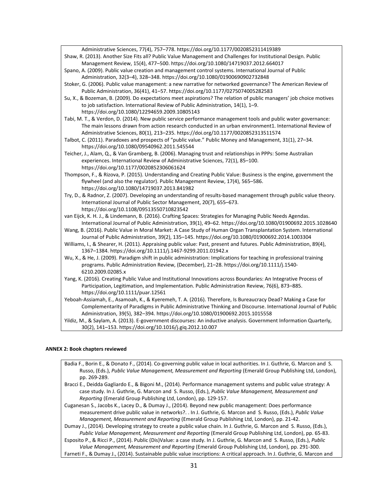Administrative Sciences, 77(4), 757–778. https://doi.org/10.1177/0020852311419389 Shaw, R. (2013). Another Size Fits all? Public Value Management and Challenges for Institutional Design. Public Management Review, 15(4), 477–500. https://doi.org/10.1080/14719037.2012.664017 Spano, A. (2009). Public value creation and management control systems. International Journal of Public Administration, 32(3–4), 328–348. https://doi.org/10.1080/01900690902732848 Stoker, G. (2006). Public value management: a new narrative for networked governance? The American Review of Public Administration, 36(41), 41–57. https://doi.org/10.1177/0275074005282583 Su, X., & Bozeman, B. (2009). Do expectations meet aspirations? The relation of public managers' job choice motives to job satisfaction. International Review of Public Administration, 14(1), 1–9. https://doi.org/10.1080/12294659.2009.10805143 Tabi, M. T., & Verdon, D. (2014). New public service performance management tools and public water governance: The main lessons drawn from action research conducted in an urban environment1. International Review of Administrative Sciences, 80(1), 213–235. https://doi.org/10.1177/0020852313511574 Talbot, C. (2011). Paradoxes and prospects of "public value." Public Money and Management, 31(1), 27–34. https://doi.org/10.1080/09540962.2011.545544 Teicher, J., Alam, Q., & Van Gramberg, B. (2006). Managing trust and relationships in PPPs: Some Australian experiences. International Review of Administrative Sciences, 72(1), 85–100. https://doi.org/10.1177/0020852306061624 Thompson, F., & Rizova, P. (2015). Understanding and Creating Public Value: Business is the engine, government the flywheel (and also the regulator). Public Management Review, 17(4), 565–586. https://doi.org/10.1080/14719037.2013.841982 Try, D., & Radnor, Z. (2007). Developing an understanding of results-based management through public value theory. International Journal of Public Sector Management, 20(7), 655–673. https://doi.org/10.1108/09513550710823542 van Eijck, K. H. J., & Lindemann, B. (2016). Crafting Spaces: Strategies for Managing Public Needs Agendas. International Journal of Public Administration, 39(1), 49–62. https://doi.org/10.1080/01900692.2015.1028640 Wang, B. (2016). Public Value in Moral Market: A Case Study of Human Organ Transplantation System. International Journal of Public Administration, 39(2), 135–145. https://doi.org/10.1080/01900692.2014.1003304 Williams, I., & Shearer, H. (2011). Appraising public value: Past, present and futures. Public Administration, 89(4), 1367–1384. https://doi.org/10.1111/j.1467-9299.2011.01942.x Wu, X., & He, J. (2009). Paradigm shift in public administration: Implications for teaching in professional training programs. Public Administration Review, (December), 21–28. https://doi.org/10.1111/j.1540- 6210.2009.02085.x Yang, K. (2016). Creating Public Value and Institutional Innovations across Boundaries: An Integrative Process of Participation, Legitimation, and Implementation. Public Administration Review, 76(6), 873–885. https://doi.org/10.1111/puar.12561 Yeboah-Assiamah, E., Asamoah, K., & Kyeremeh, T. A. (2016). Therefore, Is Bureaucracy Dead? Making a Case for Complementarity of Paradigms in Public Administrative Thinking and Discourse. International Journal of Public Administration, 39(5), 382–394. https://doi.org/10.1080/01900692.2015.1015558 Yildiz, M., & Saylam, A. (2013). E-government discourses: An inductive analysis. Government Information Quarterly, 30(2), 141–153. https://doi.org/10.1016/j.giq.2012.10.007

#### **ANNEX 2: Book chapters reviewed**

Badia F., Borin E., & Donato F., (2014). Co-governing public value in local authorities. In J. Guthrie, G. Marcon and S. Russo, (Eds.), *Public Value Management, Measurement and Reporting* (Emerald Group Publishing Ltd, London), pp. 269-289.

- Bracci E., Deidda Gagliardo E., & Bigoni M., (2014). Performance management systems and public value strategy: A case study. In J. Guthrie, G. Marcon and S. Russo, (Eds.), *Public Value Management, Measurement and Reporting* (Emerald Group Publishing Ltd, London), pp. 129-157.
- Cuganesan S., Jacobs K., Lacey D., & Dumay J., (2014). Beyond new public management: Does performance measurement drive public value in networks?. . In J. Guthrie, G. Marcon and S. Russo, (Eds.), *Public Value Management, Measurement and Reporting* (Emerald Group Publishing Ltd, London), pp. 21-42.
- Dumay J., (2014). Developing strategy to create a public value chain. In J. Guthrie, G. Marcon and S. Russo, (Eds.), *Public Value Management, Measurement and Reporting* (Emerald Group Publishing Ltd, London), pp. 65-83.

Esposito P., & Ricci P., (2014). Public (Dis)Value: a case study. In J. Guthrie, G. Marcon and S. Russo, (Eds.), *Public Value Management, Measurement and Reporting* (Emerald Group Publishing Ltd, London), pp. 291-300. Farneti F., & Dumay J., (2014). Sustainable public value inscriptions: A critical approach. In J. Guthrie, G. Marcon and